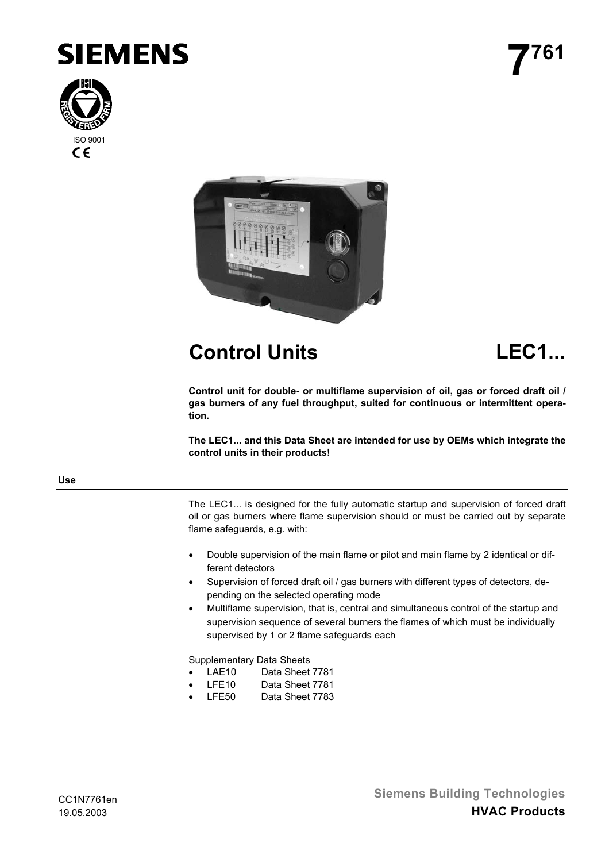





# **Control Units LEC1...**

**Control unit for double- or multiflame supervision of oil, gas or forced draft oil / gas burners of any fuel throughput, suited for continuous or intermittent operation.**

**The LEC1... and this Data Sheet are intended for use by OEMs which integrate the control units in their products!**

#### **Use**

The LEC1... is designed for the fully automatic startup and supervision of forced draft oil or gas burners where flame supervision should or must be carried out by separate flame safeguards, e.g. with:

- Double supervision of the main flame or pilot and main flame by 2 identical or different detectors
- Supervision of forced draft oil / gas burners with different types of detectors, depending on the selected operating mode
- Multiflame supervision, that is, central and simultaneous control of the startup and supervision sequence of several burners the flames of which must be individually supervised by 1 or 2 flame safeguards each

Supplementary Data Sheets

- LAE10 Data Sheet 7781
- LFE10 Data Sheet 7781
- LFE50 Data Sheet 7783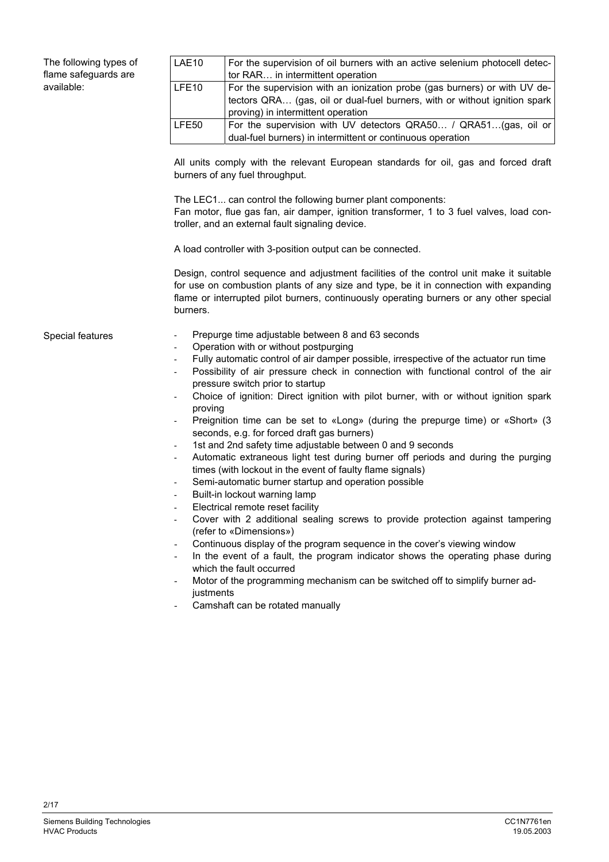The following types of flame safeguards are available:

| LAE10             | For the supervision of oil burners with an active selenium photocell detec-<br>tor RAR in intermittent operation                                                                              |
|-------------------|-----------------------------------------------------------------------------------------------------------------------------------------------------------------------------------------------|
| LFE <sub>10</sub> | For the supervision with an ionization probe (gas burners) or with UV de-<br>tectors QRA (gas, oil or dual-fuel burners, with or without ignition spark<br>proving) in intermittent operation |
| LFE50             | For the supervision with UV detectors QRA50 / QRA51(gas, oil or<br>dual-fuel burners) in intermittent or continuous operation                                                                 |

All units comply with the relevant European standards for oil, gas and forced draft burners of any fuel throughput.

The LEC1... can control the following burner plant components: Fan motor, flue gas fan, air damper, ignition transformer, 1 to 3 fuel valves, load controller, and an external fault signaling device.

A load controller with 3-position output can be connected.

Design, control sequence and adjustment facilities of the control unit make it suitable for use on combustion plants of any size and type, be it in connection with expanding flame or interrupted pilot burners, continuously operating burners or any other special burners.

#### Special features

- Prepurge time adjustable between 8 and 63 seconds
- Operation with or without postpurging
- Fully automatic control of air damper possible, irrespective of the actuator run time
- Possibility of air pressure check in connection with functional control of the air pressure switch prior to startup
- Choice of ignition: Direct ignition with pilot burner, with or without ignition spark proving
- Preignition time can be set to «Long» (during the prepurge time) or «Short» (3 seconds, e.g. for forced draft gas burners)
- 1st and 2nd safety time adjustable between 0 and 9 seconds
- Automatic extraneous light test during burner off periods and during the purging times (with lockout in the event of faulty flame signals)
- Semi-automatic burner startup and operation possible
- Built-in lockout warning lamp
- Electrical remote reset facility
- Cover with 2 additional sealing screws to provide protection against tampering (refer to «Dimensions»)
- Continuous display of the program sequence in the cover's viewing window
- In the event of a fault, the program indicator shows the operating phase during which the fault occurred
- Motor of the programming mechanism can be switched off to simplify burner adiustments
- Camshaft can be rotated manually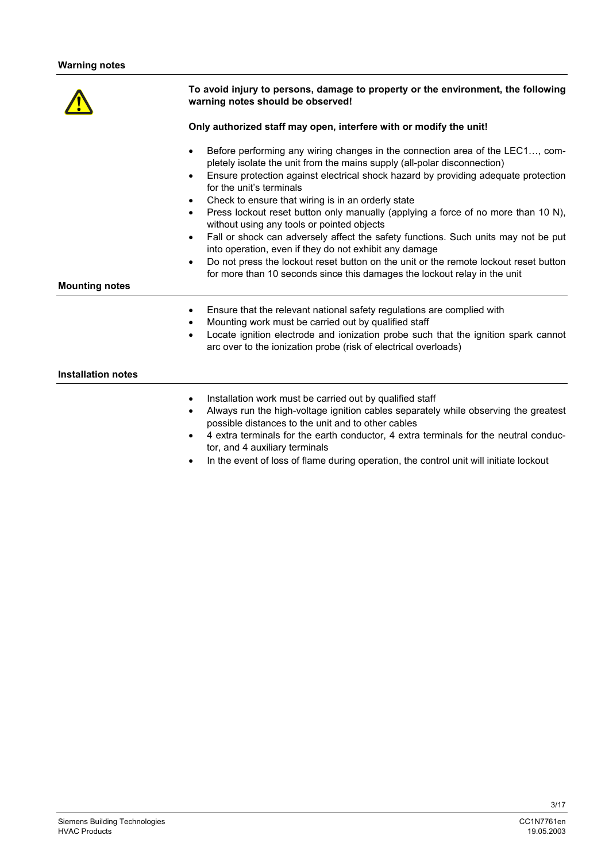# **To avoid injury to persons, damage to property or the environment, the following warning notes should be observed! Only authorized staff may open, interfere with or modify the unit!** • Before performing any wiring changes in the connection area of the LEC1…, completely isolate the unit from the mains supply (all-polar disconnection) • Ensure protection against electrical shock hazard by providing adequate protection for the unit's terminals Check to ensure that wiring is in an orderly state • Press lockout reset button only manually (applying a force of no more than 10 N), without using any tools or pointed objects • Fall or shock can adversely affect the safety functions. Such units may not be put into operation, even if they do not exhibit any damage • Do not press the lockout reset button on the unit or the remote lockout reset button for more than 10 seconds since this damages the lockout relay in the unit **Mounting notes** • Ensure that the relevant national safety regulations are complied with • Mounting work must be carried out by qualified staff • Locate ignition electrode and ionization probe such that the ignition spark cannot arc over to the ionization probe (risk of electrical overloads) **Installation notes**

- Installation work must be carried out by qualified staff
- Always run the high-voltage ignition cables separately while observing the greatest possible distances to the unit and to other cables
- 4 extra terminals for the earth conductor, 4 extra terminals for the neutral conductor, and 4 auxiliary terminals
- In the event of loss of flame during operation, the control unit will initiate lockout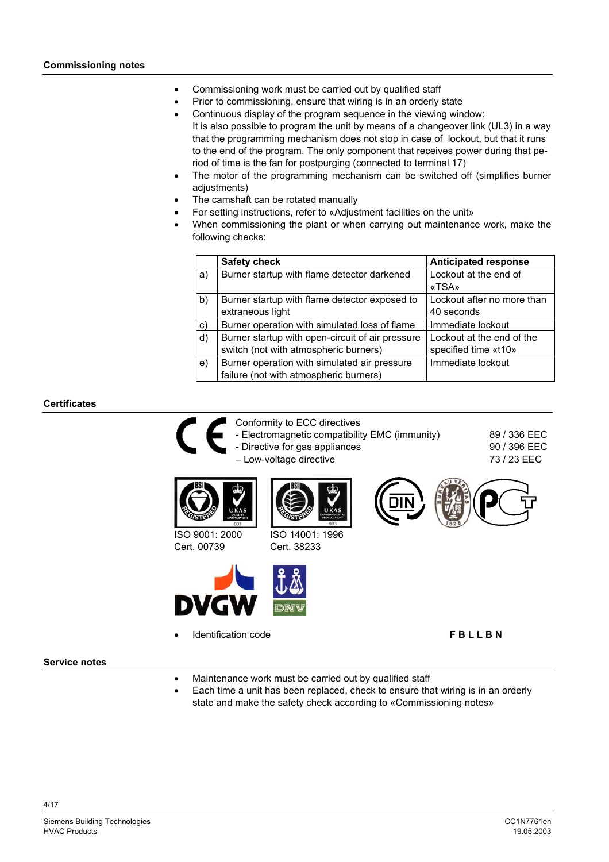- Commissioning work must be carried out by qualified staff
- Prior to commissioning, ensure that wiring is in an orderly state
- Continuous display of the program sequence in the viewing window: It is also possible to program the unit by means of a changeover link (UL3) in a way that the programming mechanism does not stop in case of lockout, but that it runs to the end of the program. The only component that receives power during that period of time is the fan for postpurging (connected to terminal 17)
- The motor of the programming mechanism can be switched off (simplifies burner adjustments)
- The camshaft can be rotated manually
- For setting instructions, refer to «Adjustment facilities on the unit»
- When commissioning the plant or when carrying out maintenance work, make the following checks:

|    | <b>Safety check</b>                              | <b>Anticipated response</b> |
|----|--------------------------------------------------|-----------------------------|
| a) | Burner startup with flame detector darkened      | Lockout at the end of       |
|    |                                                  | «TSA»                       |
| b) | Burner startup with flame detector exposed to    | Lockout after no more than  |
|    | extraneous light                                 | 40 seconds                  |
| C) | Burner operation with simulated loss of flame    | Immediate lockout           |
| d) | Burner startup with open-circuit of air pressure | Lockout at the end of the   |
|    | switch (not with atmospheric burners)            | specified time «t10»        |
| e) | Burner operation with simulated air pressure     | Immediate lockout           |
|    | failure (not with atmospheric burners)           |                             |

# **Certificates**

- Conformity to ECC directives
	- Electromagnetic compatibility EMC (immunity)
	- Directive for gas appliances
	- Low-voltage directive

ISO 14001: 1996 Cert. 38233

89 / 336 EEC 90 / 396 EEC 73 / 23 EEC



ISO 9001: 2000 Cert. 00739



• Identification code **F B L L B N**

### **Service notes**

- Maintenance work must be carried out by qualified staff
- Each time a unit has been replaced, check to ensure that wiring is in an orderly state and make the safety check according to «Commissioning notes»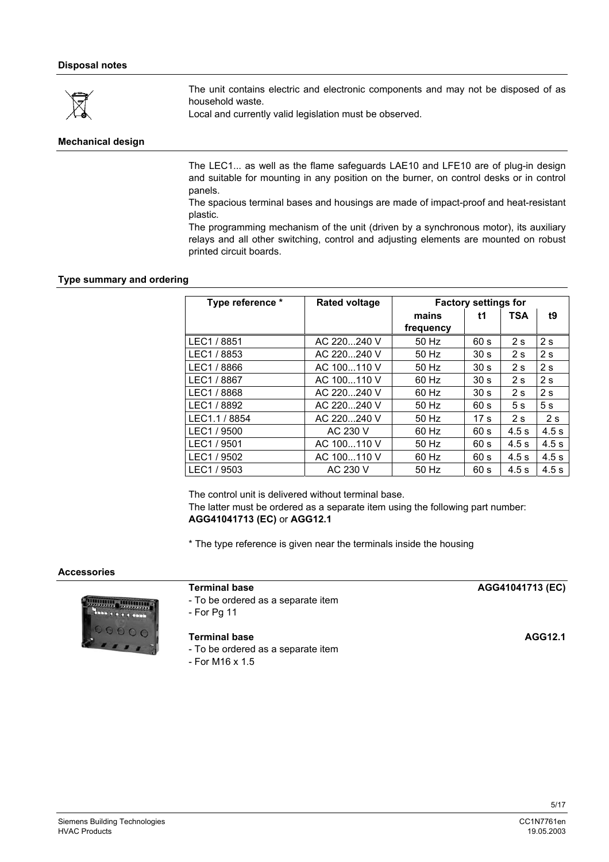

The unit contains electric and electronic components and may not be disposed of as household waste.

Local and currently valid legislation must be observed.

# **Mechanical design**

The LEC1... as well as the flame safeguards LAE10 and LFE10 are of plug-in design and suitable for mounting in any position on the burner, on control desks or in control panels.

The spacious terminal bases and housings are made of impact-proof and heat-resistant plastic.

The programming mechanism of the unit (driven by a synchronous motor), its auxiliary relays and all other switching, control and adjusting elements are mounted on robust printed circuit boards.

#### **Type summary and ordering**

| Type reference * | <b>Rated voltage</b> | <b>Factory settings for</b> |                 |            |                |
|------------------|----------------------|-----------------------------|-----------------|------------|----------------|
|                  |                      | mains                       | t1              | <b>TSA</b> | t9             |
|                  |                      | frequency                   |                 |            |                |
| LEC1 / 8851      | AC 220240 V          | 50 Hz                       | 60 s            | 2s         | 2s             |
| LEC1 / 8853      | AC 220240 V          | 50 Hz                       | 30 <sub>s</sub> | 2s         | 2s             |
| LEC1 / 8866      | AC 100110 V          | 50 Hz                       | 30 <sub>s</sub> | 2s         | 2s             |
| LEC1 / 8867      | AC 100110 V          | 60 Hz                       | 30 <sub>s</sub> | 2s         | 2s             |
| LEC1 / 8868      | AC 220240 V          | 60 Hz                       | 30 <sub>s</sub> | 2s         | 2s             |
| LEC1 / 8892      | AC 220240 V          | 50 Hz                       | 60 s            | 5s         | 5 <sub>s</sub> |
| LEC1.1 / 8854    | AC 220240 V          | 50 Hz                       | 17 <sub>s</sub> | 2s         | 2s             |
| LEC1 / 9500      | AC 230 V             | 60 Hz                       | 60 s            | 4.5s       | 4.5s           |
| LEC1 / 9501      | AC 100110 V          | 50 Hz                       | 60 <sub>s</sub> | 4.5s       | 4.5s           |
| LEC1 / 9502      | AC 100110 V          | 60 Hz                       | 60 <sub>s</sub> | 4.5s       | 4.5s           |
| LEC1 / 9503      | AC 230 V             | 50 Hz                       | 60 s            | 4.5s       | 4.5s           |

The control unit is delivered without terminal base. The latter must be ordered as a separate item using the following part number: **AGG41041713 (EC)** or **AGG12.1**

\* The type reference is given near the terminals inside the housing

#### **Accessories**



- To be ordered as a separate item

- For Pg 11

#### **Terminal base AGG12.1**

- To be ordered as a separate item

- For M16 x 1.5

| <b>Terminal base</b> | AGG41041713 (EC) |
|----------------------|------------------|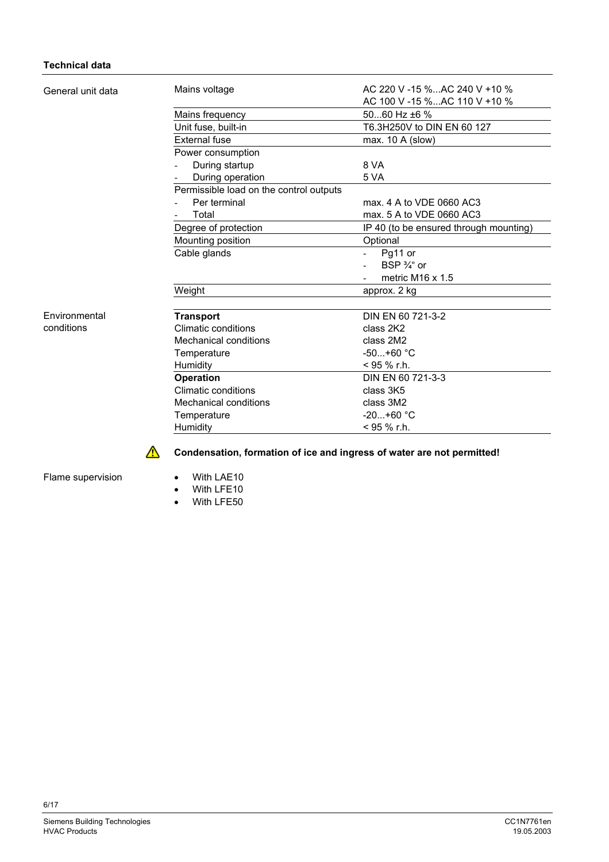# **Technical data**

|                                         | AC 220 V -15 % AC 240 V +10 %                                                                                                                                                                          |
|-----------------------------------------|--------------------------------------------------------------------------------------------------------------------------------------------------------------------------------------------------------|
|                                         | AC 100 V -15 %AC 110 V +10 %                                                                                                                                                                           |
|                                         | 5060 Hz ±6 %                                                                                                                                                                                           |
|                                         | T6.3H250V to DIN EN 60 127                                                                                                                                                                             |
| <b>External fuse</b>                    | max. 10 A (slow)                                                                                                                                                                                       |
| Power consumption                       |                                                                                                                                                                                                        |
| During startup                          | 8 VA                                                                                                                                                                                                   |
| During operation                        | 5 VA                                                                                                                                                                                                   |
| Permissible load on the control outputs |                                                                                                                                                                                                        |
| Per terminal                            | max, 4 A to VDE 0660 AC3                                                                                                                                                                               |
| Total                                   | max, 5 A to VDE 0660 AC3                                                                                                                                                                               |
|                                         | IP 40 (to be ensured through mounting)                                                                                                                                                                 |
|                                         | Optional                                                                                                                                                                                               |
|                                         | Pg11 or                                                                                                                                                                                                |
|                                         | BSP $\frac{3}{4}$ or                                                                                                                                                                                   |
|                                         | metric M <sub>16</sub> x $1.5$                                                                                                                                                                         |
| Weight                                  | approx. 2 kg                                                                                                                                                                                           |
|                                         | DIN EN 60 721-3-2                                                                                                                                                                                      |
| Climatic conditions                     | class 2K2                                                                                                                                                                                              |
| Mechanical conditions                   | class 2M2                                                                                                                                                                                              |
|                                         | $-50+60 °C$                                                                                                                                                                                            |
|                                         | $<$ 95 % r.h.                                                                                                                                                                                          |
|                                         | DIN EN 60 721-3-3                                                                                                                                                                                      |
| Climatic conditions                     | class 3K5                                                                                                                                                                                              |
| Mechanical conditions                   | class 3M2                                                                                                                                                                                              |
|                                         | $-20+60 °C$                                                                                                                                                                                            |
| Humidity                                | $<$ 95 % r.h.                                                                                                                                                                                          |
|                                         | Mains voltage<br>Mains frequency<br>Unit fuse, built-in<br>Degree of protection<br>Mounting position<br>Cable glands<br><b>Transport</b><br>Temperature<br>Humidity<br><b>Operation</b><br>Temperature |

**Condensation, formation of ice and ingress of water are not permitted!**

Flame supervision

• With LAE10

 $\triangle$ 

- With LFE10
- With LFE50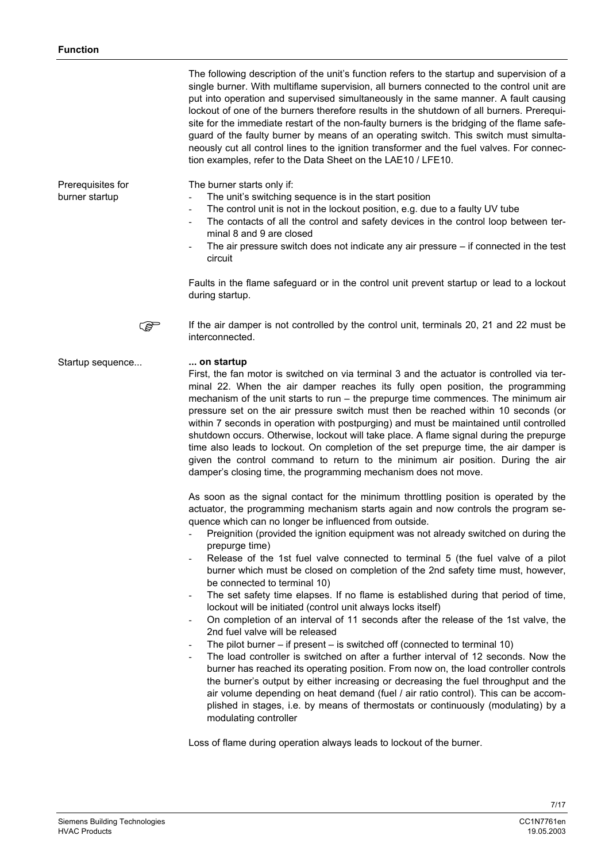|                                     | The following description of the unit's function refers to the startup and supervision of a<br>single burner. With multiflame supervision, all burners connected to the control unit are<br>put into operation and supervised simultaneously in the same manner. A fault causing<br>lockout of one of the burners therefore results in the shutdown of all burners. Prerequi-<br>site for the immediate restart of the non-faulty burners is the bridging of the flame safe-<br>guard of the faulty burner by means of an operating switch. This switch must simulta-<br>neously cut all control lines to the ignition transformer and the fuel valves. For connec-<br>tion examples, refer to the Data Sheet on the LAE10 / LFE10.                                                                                                                                                                                                                                                                                                                                                                                                                                                                                                                                                                                                                                                                                                                                                  |
|-------------------------------------|--------------------------------------------------------------------------------------------------------------------------------------------------------------------------------------------------------------------------------------------------------------------------------------------------------------------------------------------------------------------------------------------------------------------------------------------------------------------------------------------------------------------------------------------------------------------------------------------------------------------------------------------------------------------------------------------------------------------------------------------------------------------------------------------------------------------------------------------------------------------------------------------------------------------------------------------------------------------------------------------------------------------------------------------------------------------------------------------------------------------------------------------------------------------------------------------------------------------------------------------------------------------------------------------------------------------------------------------------------------------------------------------------------------------------------------------------------------------------------------|
| Prerequisites for<br>burner startup | The burner starts only if:<br>The unit's switching sequence is in the start position<br>$\overline{\phantom{a}}$<br>The control unit is not in the lockout position, e.g. due to a faulty UV tube<br>$\overline{\phantom{a}}$<br>The contacts of all the control and safety devices in the control loop between ter-<br>$\blacksquare$<br>minal 8 and 9 are closed<br>The air pressure switch does not indicate any air pressure $-$ if connected in the test<br>circuit                                                                                                                                                                                                                                                                                                                                                                                                                                                                                                                                                                                                                                                                                                                                                                                                                                                                                                                                                                                                             |
|                                     | Faults in the flame safeguard or in the control unit prevent startup or lead to a lockout<br>during startup.                                                                                                                                                                                                                                                                                                                                                                                                                                                                                                                                                                                                                                                                                                                                                                                                                                                                                                                                                                                                                                                                                                                                                                                                                                                                                                                                                                         |
| کھی                                 | If the air damper is not controlled by the control unit, terminals 20, 21 and 22 must be<br>interconnected.                                                                                                                                                                                                                                                                                                                                                                                                                                                                                                                                                                                                                                                                                                                                                                                                                                                                                                                                                                                                                                                                                                                                                                                                                                                                                                                                                                          |
| Startup sequence                    | on startup<br>First, the fan motor is switched on via terminal 3 and the actuator is controlled via ter-<br>minal 22. When the air damper reaches its fully open position, the programming<br>mechanism of the unit starts to run - the prepurge time commences. The minimum air<br>pressure set on the air pressure switch must then be reached within 10 seconds (or<br>within 7 seconds in operation with postpurging) and must be maintained until controlled<br>shutdown occurs. Otherwise, lockout will take place. A flame signal during the prepurge<br>time also leads to lockout. On completion of the set prepurge time, the air damper is<br>given the control command to return to the minimum air position. During the air<br>damper's closing time, the programming mechanism does not move.                                                                                                                                                                                                                                                                                                                                                                                                                                                                                                                                                                                                                                                                          |
|                                     | As soon as the signal contact for the minimum throttling position is operated by the<br>actuator, the programming mechanism starts again and now controls the program se-<br>quence which can no longer be influenced from outside.<br>Preignition (provided the ignition equipment was not already switched on during the<br>prepurge time)<br>Release of the 1st fuel valve connected to terminal 5 (the fuel valve of a pilot<br>$\overline{\phantom{a}}$<br>burner which must be closed on completion of the 2nd safety time must, however,<br>be connected to terminal 10)<br>The set safety time elapses. If no flame is established during that period of time,<br>$\overline{\phantom{a}}$<br>lockout will be initiated (control unit always locks itself)<br>On completion of an interval of 11 seconds after the release of the 1st valve, the<br>$\overline{\phantom{a}}$<br>2nd fuel valve will be released<br>The pilot burner $-$ if present $-$ is switched off (connected to terminal 10)<br>$\overline{\phantom{a}}$<br>The load controller is switched on after a further interval of 12 seconds. Now the<br>burner has reached its operating position. From now on, the load controller controls<br>the burner's output by either increasing or decreasing the fuel throughput and the<br>air volume depending on heat demand (fuel / air ratio control). This can be accom-<br>plished in stages, i.e. by means of thermostats or continuously (modulating) by a |

Loss of flame during operation always leads to lockout of the burner.

modulating controller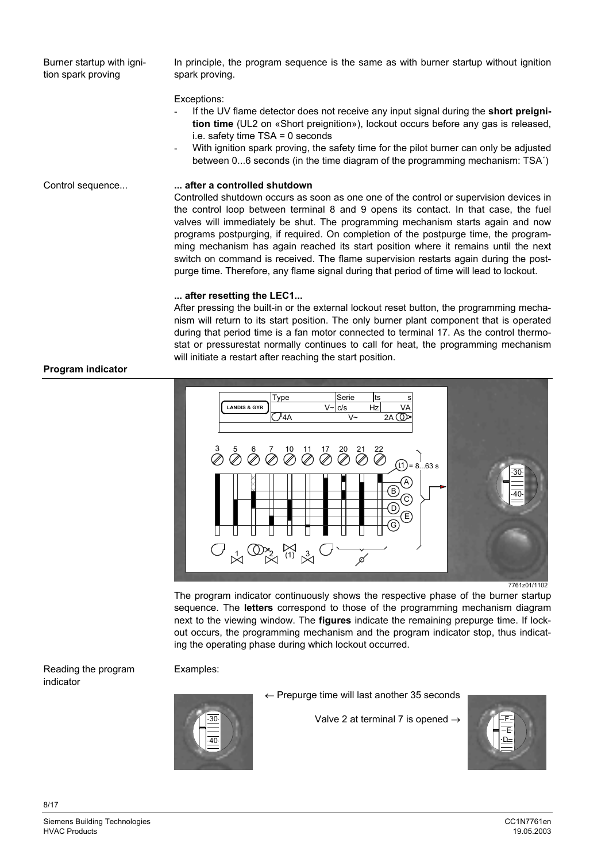Burner startup with ignition spark proving

In principle, the program sequence is the same as with burner startup without ignition spark proving.

#### Exceptions:

- If the UV flame detector does not receive any input signal during the **short preignition time** (UL2 on «Short preignition»), lockout occurs before any gas is released, i.e. safety time TSA = 0 seconds
- With ignition spark proving, the safety time for the pilot burner can only be adjusted between 0...6 seconds (in the time diagram of the programming mechanism: TSA´)

Control sequence...

# **... after a controlled shutdown**

Controlled shutdown occurs as soon as one one of the control or supervision devices in the control loop between terminal 8 and 9 opens its contact. In that case, the fuel valves will immediately be shut. The programming mechanism starts again and now programs postpurging, if required. On completion of the postpurge time, the programming mechanism has again reached its start position where it remains until the next switch on command is received. The flame supervision restarts again during the postpurge time. Therefore, any flame signal during that period of time will lead to lockout.

# **... after resetting the LEC1...**

After pressing the built-in or the external lockout reset button, the programming mechanism will return to its start position. The only burner plant component that is operated during that period time is a fan motor connected to terminal 17. As the control thermostat or pressurestat normally continues to call for heat, the programming mechanism will initiate a restart after reaching the start position.



The program indicator continuously shows the respective phase of the burner startup sequence. The **letters** correspond to those of the programming mechanism diagram next to the viewing window. The **figures** indicate the remaining prepurge time. If lockout occurs, the programming mechanism and the program indicator stop, thus indicating the operating phase during which lockout occurred.

Reading the program indicator

#### Examples:



← Prepurge time will last another 35 seconds

Valve 2 at terminal 7 is opened  $\rightarrow$ 



# **Program indicator**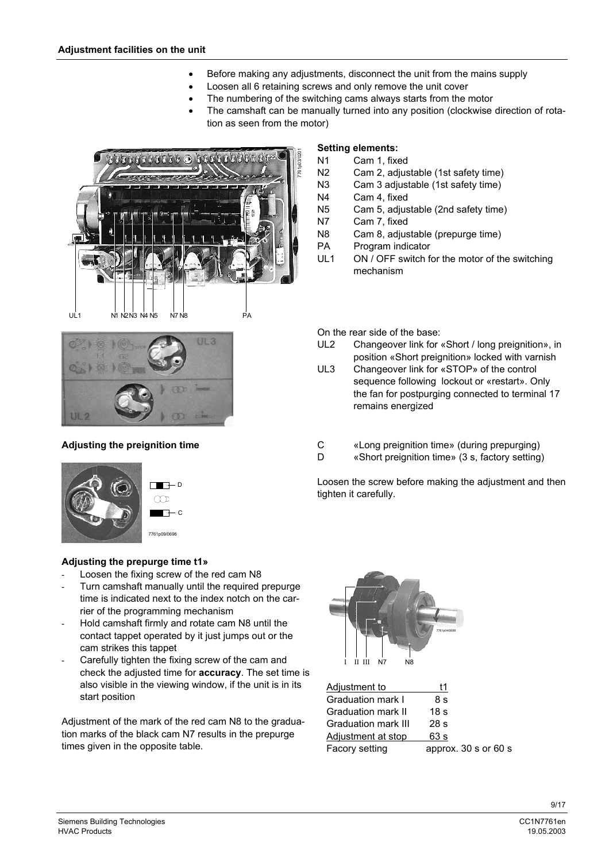- Before making any adjustments, disconnect the unit from the mains supply
- Loosen all 6 retaining screws and only remove the unit cover
	- The numbering of the switching cams always starts from the motor
- The camshaft can be manually turned into any position (clockwise direction of rotation as seen from the motor)





# **Adjusting the preignition time**





# **Adjusting the prepurge time t1»**

- Loosen the fixing screw of the red cam N8
- Turn camshaft manually until the required prepurge time is indicated next to the index notch on the carrier of the programming mechanism
- Hold camshaft firmly and rotate cam N8 until the contact tappet operated by it just jumps out or the cam strikes this tappet
- Carefully tighten the fixing screw of the cam and check the adjusted time for **accuracy**. The set time is also visible in the viewing window, if the unit is in its start position

Adjustment of the mark of the red cam N8 to the graduation marks of the black cam N7 results in the prepurge times given in the opposite table.

# **Setting elements:**

- N1 Cam 1, fixed
- N2 Cam 2, adjustable (1st safety time)
- N3 Cam 3 adjustable (1st safety time)
- N4 Cam 4, fixed
- N5 Cam 5, adjustable (2nd safety time)
- N7 Cam 7, fixed
- N8 Cam 8, adjustable (prepurge time)
- PA Program indicator
- UL1 ON / OFF switch for the motor of the switching mechanism

On the rear side of the base:

- UL2 Changeover link for «Short / long preignition», in position «Short preignition» locked with varnish
- UL3 Changeover link for «STOP» of the control sequence following lockout or «restart». Only the fan for postpurging connected to terminal 17 remains energized
- C «Long preignition time» (during prepurging)
- D «Short preignition time» (3 s, factory setting)

Loosen the screw before making the adjustment and then tighten it carefully.



| Adjustment to             | t1                       |
|---------------------------|--------------------------|
| Graduation mark I         | 8 s                      |
| <b>Graduation mark II</b> | 18 <sub>s</sub>          |
| Graduation mark III       | 28 <sub>s</sub>          |
| Adjustment at stop        | 63 s                     |
| Facory setting            | approx. $30 s$ or $60 s$ |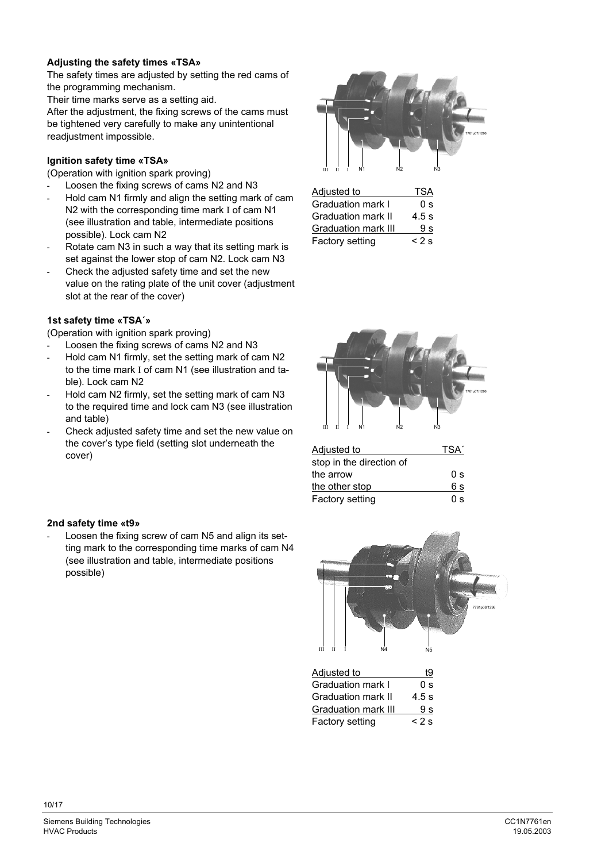# **Adjusting the safety times «TSA»**

The safety times are adjusted by setting the red cams of the programming mechanism.

Their time marks serve as a setting aid.

After the adjustment, the fixing screws of the cams must be tightened very carefully to make any unintentional readjustment impossible.

# **Ignition safety time «TSA»**

(Operation with ignition spark proving)

- Loosen the fixing screws of cams N2 and N3
- Hold cam N1 firmly and align the setting mark of cam N2 with the corresponding time mark I of cam N1 (see illustration and table, intermediate positions possible). Lock cam N2
- Rotate cam N3 in such a way that its setting mark is set against the lower stop of cam N2. Lock cam N3
- Check the adjusted safety time and set the new value on the rating plate of the unit cover (adjustment slot at the rear of the cover)

# **1st safety time «TSA´»**

(Operation with ignition spark proving)

- Loosen the fixing screws of cams N2 and N3
- Hold cam N1 firmly, set the setting mark of cam N2 to the time mark I of cam N1 (see illustration and table). Lock cam N2
- Hold cam N2 firmly, set the setting mark of cam N3 to the required time and lock cam N3 (see illustration and table)
- Check adjusted safety time and set the new value on the cover's type field (setting slot underneath the cover)



| <u>Adjusted to</u>         | TSA     |
|----------------------------|---------|
| <b>Graduation mark I</b>   | 0 s     |
| Graduation mark II         | $4.5$ s |
| <b>Graduation mark III</b> | 9 s     |
| Factory setting            | $< 2$ s |



| Adjusted to              | TSA' |
|--------------------------|------|
| stop in the direction of |      |
| the arrow                | 0 s  |
| the other stop           | 6 s  |
| Factory setting          | 0 s  |



Graduation mark III 9 s Factory setting < 2 s

# **2nd safety time «t9»**

Loosen the fixing screw of cam N5 and align its setting mark to the corresponding time marks of cam N4 (see illustration and table, intermediate positions possible)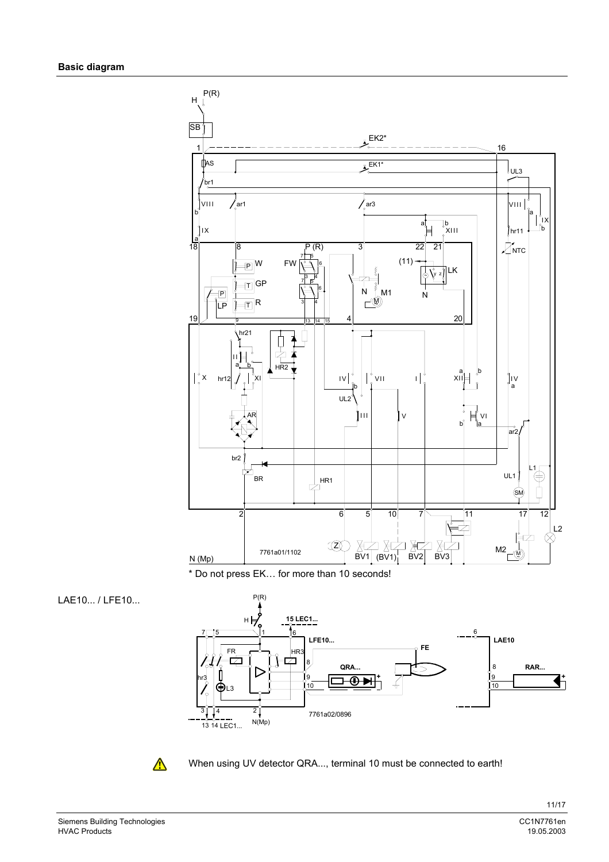

\* Do not press EK… for more than 10 seconds!







When using UV detector QRA..., terminal 10 must be connected to earth!

Siemens Building Technologies and the control of the control of the control of the control of the control of the control of the control of the control of the control of the control of the control of the control of the cont **HVAC Products**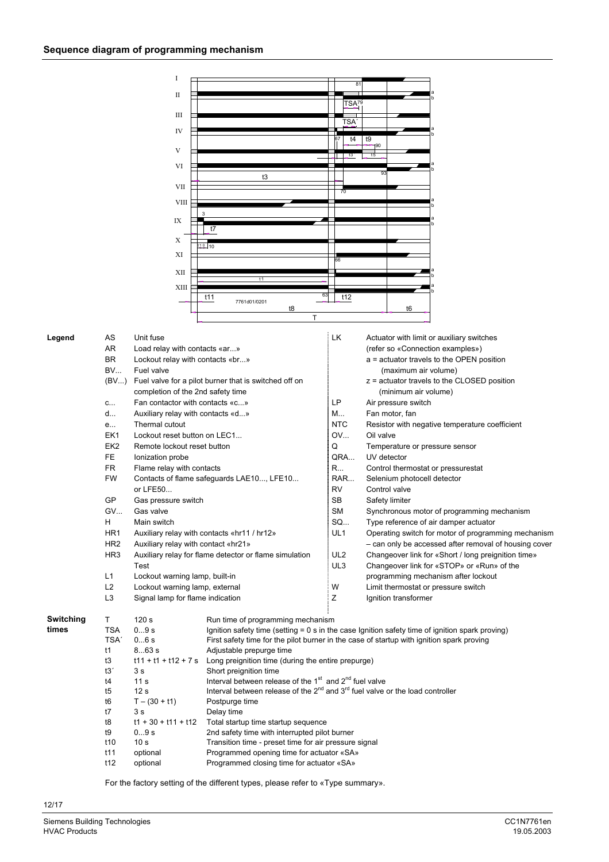|           |                  | Ι                                   |                                                                                                   |                              |           |                             |                                                       |
|-----------|------------------|-------------------------------------|---------------------------------------------------------------------------------------------------|------------------------------|-----------|-----------------------------|-------------------------------------------------------|
|           |                  |                                     |                                                                                                   | 8 <sup>1</sup>               |           |                             |                                                       |
|           |                  | П                                   |                                                                                                   |                              |           |                             |                                                       |
|           |                  |                                     |                                                                                                   | TSA <sub>79</sub>            |           |                             |                                                       |
|           |                  | Ш                                   |                                                                                                   | TSA <sup>®</sup>             |           |                             |                                                       |
|           |                  | IV                                  |                                                                                                   |                              |           |                             |                                                       |
|           |                  |                                     |                                                                                                   | 67<br>t4                     | t9        |                             |                                                       |
|           |                  | V                                   |                                                                                                   |                              | †90       |                             |                                                       |
|           |                  |                                     |                                                                                                   | $\frac{1}{2}$ t <sub>3</sub> | t5        |                             |                                                       |
|           |                  | VI                                  |                                                                                                   |                              |           |                             |                                                       |
|           |                  |                                     | t3                                                                                                |                              |           |                             |                                                       |
|           |                  | VII                                 |                                                                                                   | 70                           |           |                             |                                                       |
|           |                  | VIII                                |                                                                                                   |                              |           |                             |                                                       |
|           |                  |                                     |                                                                                                   |                              |           |                             |                                                       |
|           |                  | IX                                  | t7                                                                                                |                              |           |                             |                                                       |
|           |                  | Х                                   |                                                                                                   |                              |           |                             |                                                       |
|           |                  |                                     | $110 - 10$                                                                                        |                              |           |                             |                                                       |
|           |                  | XI                                  |                                                                                                   |                              |           |                             |                                                       |
|           |                  | XII                                 |                                                                                                   |                              |           |                             |                                                       |
|           |                  |                                     | t1                                                                                                |                              |           |                             |                                                       |
|           |                  | XIII                                |                                                                                                   |                              |           |                             |                                                       |
|           |                  |                                     | t11<br>7761d01/0201                                                                               | 63<br>t12                    |           |                             |                                                       |
|           |                  |                                     | t8                                                                                                |                              |           | t6                          |                                                       |
|           |                  |                                     | T                                                                                                 |                              |           |                             |                                                       |
|           |                  |                                     |                                                                                                   |                              |           |                             |                                                       |
| Legend    | AS               | Unit fuse                           |                                                                                                   | LK                           |           |                             | Actuator with limit or auxiliary switches             |
|           | AR               | Load relay with contacts «ar»       |                                                                                                   |                              |           |                             | (refer so «Connection examples»)                      |
|           | <b>BR</b>        | Lockout relay with contacts «br»    |                                                                                                   |                              |           |                             | a = actuator travels to the OPEN position             |
|           | <b>BV</b>        | Fuel valve                          |                                                                                                   |                              |           | (maximum air volume)        |                                                       |
|           | (BV)             |                                     | Fuel valve for a pilot burner that is switched off on                                             |                              |           |                             | z = actuator travels to the CLOSED position           |
|           |                  | completion of the 2nd safety time   |                                                                                                   |                              |           | (minimum air volume)        |                                                       |
|           | C                | Fan contactor with contacts «c»     |                                                                                                   | LP                           |           | Air pressure switch         |                                                       |
|           | d                | Auxiliary relay with contacts «d»   |                                                                                                   | M                            |           | Fan motor, fan              |                                                       |
|           | e                | Thermal cutout                      |                                                                                                   | <b>NTC</b>                   |           |                             | Resistor with negative temperature coefficient        |
|           | EK1              | Lockout reset button on LEC1        |                                                                                                   | OV                           | Oil valve |                             |                                                       |
|           | EK <sub>2</sub>  | Remote lockout reset button         |                                                                                                   | Q                            |           |                             | Temperature or pressure sensor                        |
|           | FE.              | Ionization probe                    |                                                                                                   | QRA                          |           | UV detector                 |                                                       |
|           | <b>FR</b>        | Flame relay with contacts           |                                                                                                   | R                            |           |                             | Control thermostat or pressurestat                    |
|           | <b>FW</b>        |                                     | Contacts of flame safeguards LAE10, LFE10                                                         | RAR                          |           | Selenium photocell detector |                                                       |
|           |                  | or LFE50                            |                                                                                                   | <b>RV</b>                    |           | Control valve               |                                                       |
|           | GP               | Gas pressure switch                 |                                                                                                   | <b>SB</b>                    |           | Safety limiter              |                                                       |
|           | <b>GV</b>        | Gas valve                           |                                                                                                   | SM                           |           |                             | Synchronous motor of programming mechanism            |
|           | н                | Main switch                         |                                                                                                   | SQ                           |           |                             | Type reference of air damper actuator                 |
|           | HR <sub>1</sub>  |                                     | Auxiliary relay with contacts «hr11 / hr12»                                                       | UL1                          |           |                             | Operating switch for motor of programming mechanism   |
|           | HR <sub>2</sub>  | Auxiliary relay with contact «hr21» |                                                                                                   |                              |           |                             | - can only be accessed after removal of housing cover |
|           | HR <sub>3</sub>  |                                     | Auxiliary relay for flame detector or flame simulation                                            | UL <sub>2</sub>              |           |                             | Changeover link for «Short / long preignition time»   |
|           |                  | Test                                |                                                                                                   | UL3                          |           |                             | Changeover link for «STOP» or «Run» of the            |
|           | L1               | Lockout warning lamp, built-in      |                                                                                                   |                              |           |                             | programming mechanism after lockout                   |
|           | L2               | Lockout warning lamp, external      |                                                                                                   | W                            |           |                             | Limit thermostat or pressure switch                   |
|           | L <sub>3</sub>   | Signal lamp for flame indication    |                                                                                                   | Ζ                            |           | Ignition transformer        |                                                       |
|           |                  |                                     |                                                                                                   |                              |           |                             |                                                       |
| Switching | Τ                | 120 <sub>s</sub>                    | Run time of programming mechanism                                                                 |                              |           |                             |                                                       |
| times     | <b>TSA</b>       | 09s                                 | Ignition safety time (setting $= 0$ s in the case Ignition safety time of ignition spark proving) |                              |           |                             |                                                       |
|           | TSA <sup>'</sup> | 06s                                 | First safety time for the pilot burner in the case of startup with ignition spark proving         |                              |           |                             |                                                       |
|           | t1               | 863 s                               | Adjustable prepurge time                                                                          |                              |           |                             |                                                       |
|           | t3               | $t11 + t1 + t12 + 7s$               | Long preignition time (during the entire prepurge)                                                |                              |           |                             |                                                       |
|           | t3'              | 3 s                                 | Short preignition time                                                                            |                              |           |                             |                                                       |
|           | t4               | 11 <sub>s</sub>                     | Interval between release of the 1 <sup>st</sup> and 2 <sup>nd</sup> fuel valve                    |                              |           |                             |                                                       |
|           | t5               | 12 <sub>s</sub>                     | Interval between release of the $2^{nd}$ and $3^{rd}$ fuel valve or the load controller           |                              |           |                             |                                                       |
|           | t6               | $T - (30 + t1)$                     | Postpurge time                                                                                    |                              |           |                             |                                                       |
|           | t7               | 3s                                  | Delay time                                                                                        |                              |           |                             |                                                       |
|           | t8               | $t1 + 30 + t11 + t12$               | Total startup time startup sequence                                                               |                              |           |                             |                                                       |
|           | t9               | 09s                                 | 2nd safety time with interrupted pilot burner                                                     |                              |           |                             |                                                       |
|           | t10              | 10 <sub>s</sub>                     | Transition time - preset time for air pressure signal                                             |                              |           |                             |                                                       |

For the factory setting of the different types, please refer to «Type summary».

t11 optional Programmed opening time for actuator «SA» t12 optional Programmed closing time for actuator «SA»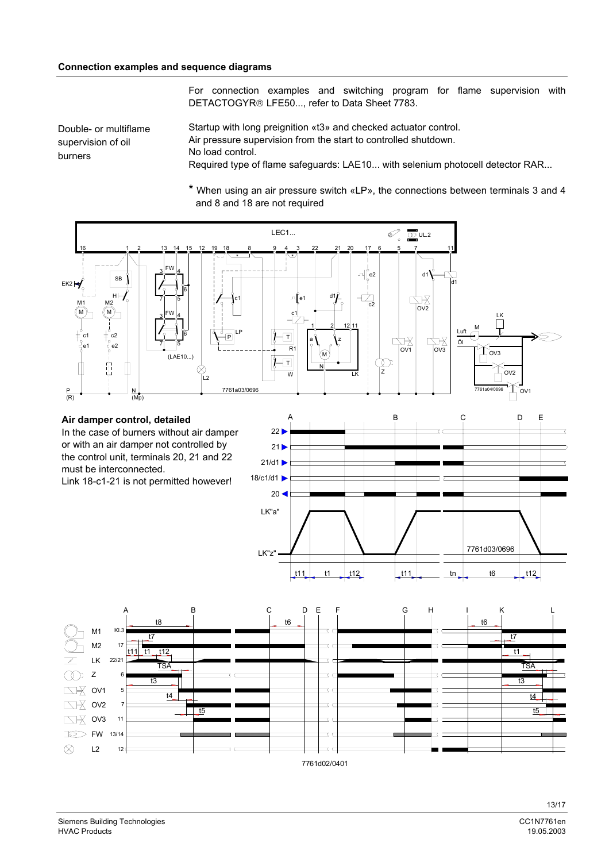For connection examples and switching program for flame supervision with DETACTOGYR® LFE50..., refer to Data Sheet 7783.

Double- or multiflame supervision of oil burners

Startup with long preignition «t3» and checked actuator control. Air pressure supervision from the start to controlled shutdown. No load control. Required type of flame safeguards: LAE10... with selenium photocell detector RAR...

\* When using an air pressure switch «LP», the connections between terminals 3 and 4 and 8 and 18 are not required

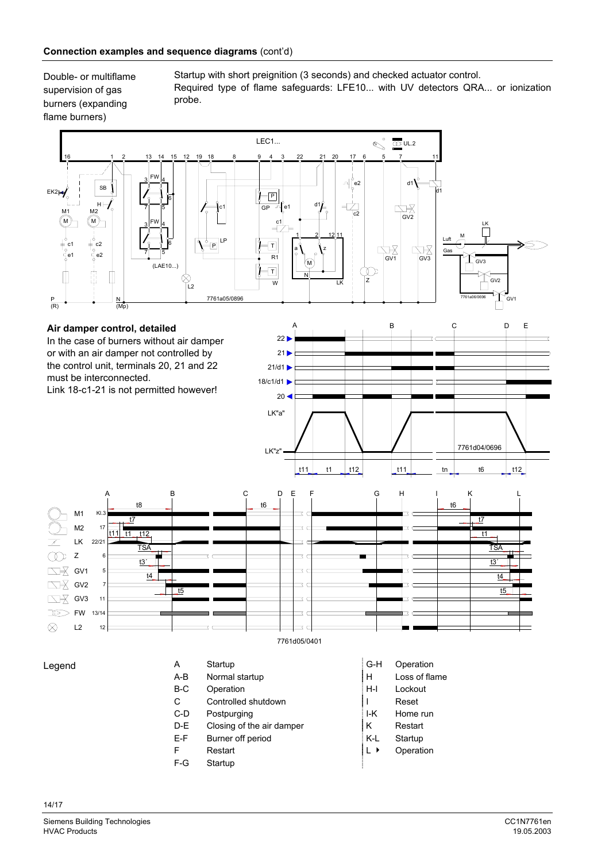Double- or multiflame supervision of gas burners (expanding flame burners)

Startup with short preignition (3 seconds) and checked actuator control. Required type of flame safeguards: LFE10... with UV detectors QRA... or ionization probe.



Legend

| Α     | Startup                   | G-H    | Opera  |
|-------|---------------------------|--------|--------|
| A-B   | Normal startup            | н      | Loss o |
| $B-C$ | Operation                 | $H-I$  | Locko  |
| С     | Controlled shutdown       |        | Reset  |
| $C-D$ | Postpurging               | I-K    | Home   |
| D-E   | Closing of the air damper | κ      | Resta  |
| E-F   | Burner off period         | K-L    | Startu |
| F     | Restart                   | ▸<br>L | Opera  |
| $F-G$ | Startup                   |        |        |
|       |                           |        |        |

- **Operation**
- Loss of flame
- Lockout
- Home run
- 
- Restart
- Startup
- Operation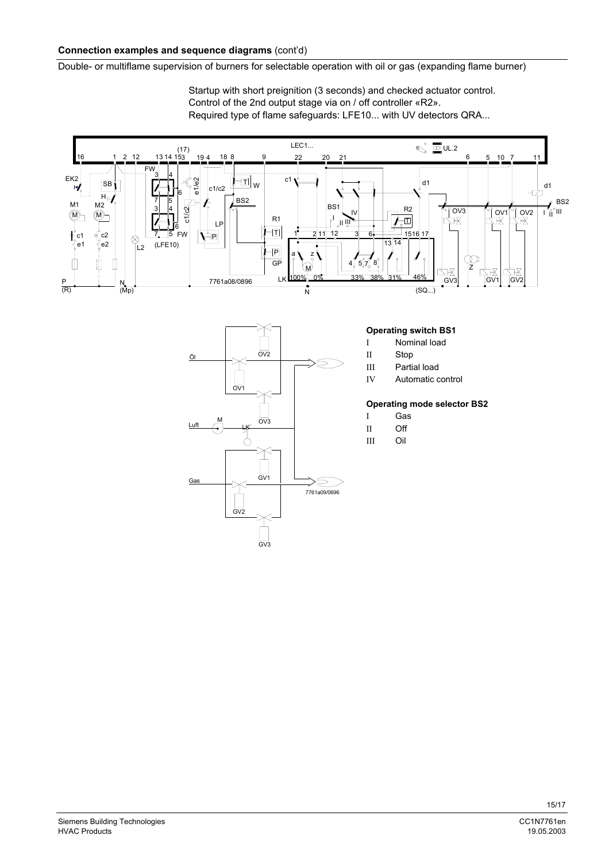### **Connection examples and sequence diagrams** (cont'd)

Double- or multiflame supervision of burners for selectable operation with oil or gas (expanding flame burner)

Startup with short preignition (3 seconds) and checked actuator control. Control of the 2nd output stage via on / off controller «R2». Required type of flame safeguards: LFE10... with UV detectors QRA...





#### **Operating switch BS1**

- I Nominal load
- II Stop
- III Partial load
- IV Automatic control

#### **Operating mode selector BS2**

- I Gas
- 
- III Oil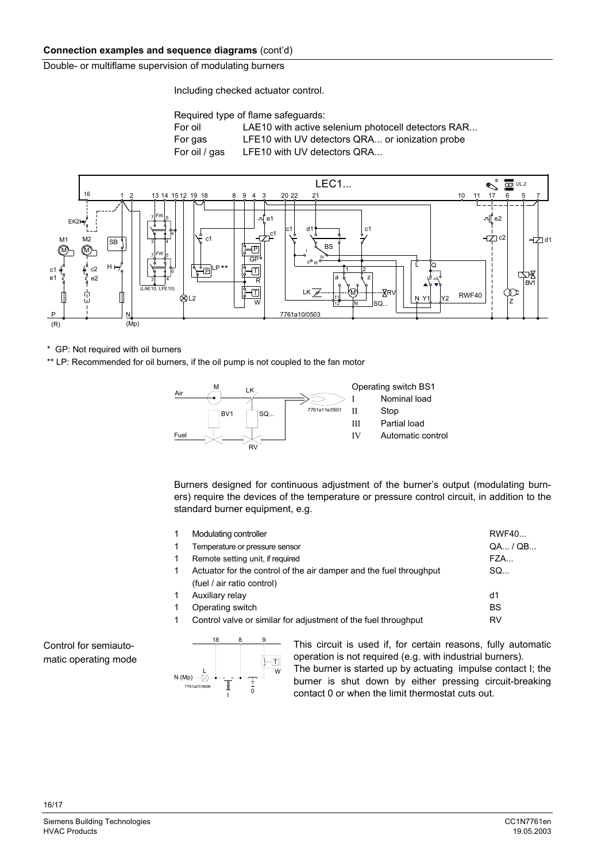# **Connection examples and sequence diagrams** (cont'd)

Double- or multiflame supervision of modulating burners

Including checked actuator control.

Required type of flame safeguards:

| For oil       | LAE10 with active selenium photocell detectors RAR |
|---------------|----------------------------------------------------|
| For gas       | LFE10 with UV detectors QRA or ionization probe    |
| For oil / gas | LFE10 with UV detectors QRA                        |



\* GP: Not required with oil burners

\*\* LP: Recommended for oil burners, if the oil pump is not coupled to the fan motor



Burners designed for continuous adjustment of the burner's output (modulating burners) require the devices of the temperature or pressure control circuit, in addition to the standard burner equipment, e.g.

| Modulating controller                                              | RWF40     |
|--------------------------------------------------------------------|-----------|
| Temperature or pressure sensor                                     | QA / QB   |
| Remote setting unit, if required                                   | FZA       |
| Actuator for the control of the air damper and the fuel throughput | SO        |
| (fuel / air ratio control)                                         |           |
| Auxiliary relay                                                    | d1        |
| Operating switch                                                   | <b>BS</b> |
| Control valve or similar for adjustment of the fuel throughput     | <b>RV</b> |
|                                                                    |           |

Control for semiautomatic operating mode



This circuit is used if, for certain reasons, fully automatic operation is not required (e.g. with industrial burners). The burner is started up by actuating impulse contact I; the burner is shut down by either pressing circuit-breaking contact 0 or when the limit thermostat cuts out.